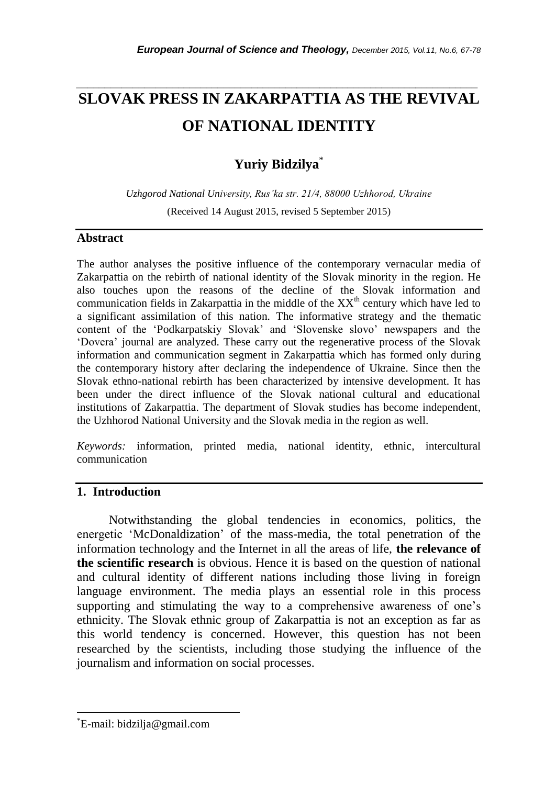# **SLOVAK PRESS IN ZAKARPATTIA AS THE REVIVAL OF NATIONAL IDENTITY**

*\_\_\_\_\_\_\_\_\_\_\_\_\_\_\_\_\_\_\_\_\_\_\_\_\_\_\_\_\_\_\_\_\_\_\_\_\_\_\_\_\_\_\_\_\_\_\_\_\_\_\_\_\_\_\_\_\_\_\_\_\_\_\_\_\_\_\_\_\_\_\_*

## **Yuriy Bidzilya**\*

*Uzhgorod National University, Rus"ka str. 21/4, 88000 Uzhhorod, Ukraine* (Received 14 August 2015, revised 5 September 2015)

#### **Abstract**

The author analyses the positive influence of the contemporary vernacular media of Zakarpattia on the rebirth of national identity of the Slovak minority in the region. He also touches upon the reasons of the decline of the Slovak information and communication fields in Zakarpattia in the middle of the  $XX<sup>th</sup>$  century which have led to a significant assimilation of this nation. The informative strategy and the thematic content of the "Podkarpatskiy Slovak" and "Slovenske slovo" newspapers and the "Dovera" journal are analyzed. These carry out the regenerative process of the Slovak information and communication segment in Zakarpattia which has formed only during the contemporary history after declaring the independence of Ukraine. Since then the Slovak ethno-national rebirth has been characterized by intensive development. It has been under the direct influence of the Slovak national cultural and educational institutions of Zakarpattia. The department of Slovak studies has become independent, the Uzhhorod National University and the Slovak media in the region as well.

*Keywords:* information, printed media, national identity, ethnic, intercultural communication

### **1. Introduction**

Notwithstanding the global tendencies in economics, politics, the energetic "McDonaldization" of the mass-media, the total penetration of the information technology and the Internet in all the areas of life, **the relevance of the scientific research** is obvious. Hence it is based on the question of national and cultural identity of different nations including those living in foreign language environment. The media plays an essential role in this process supporting and stimulating the way to a comprehensive awareness of one's ethnicity. The Slovak ethnic group of Zakarpattia is not an exception as far as this world tendency is concerned. However, this question has not been researched by the scientists, including those studying the influence of the journalism and information on social processes.

l

<sup>\*</sup>E-mail: bidzilja@gmail.com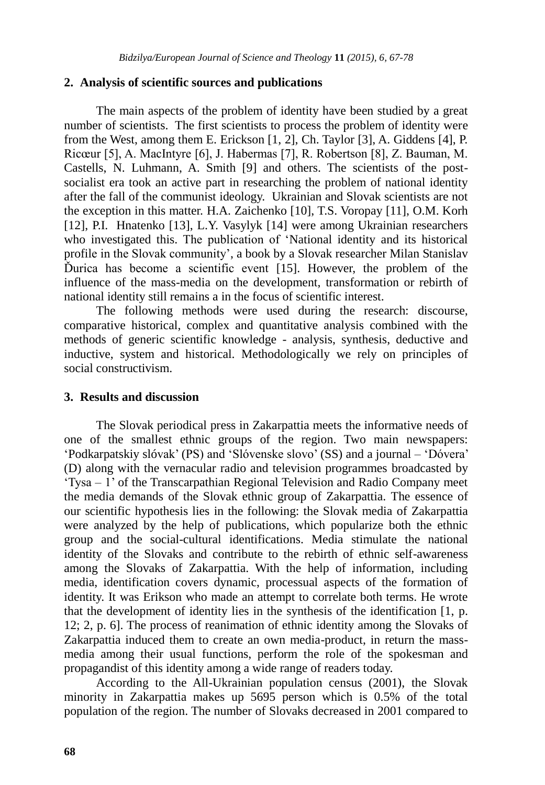#### **2. Analysis of scientific sources and publications**

The main aspects of the problem of identity have been studied by a great number of scientists. The first scientists to process the problem of identity were from the West, among them E. Erickson [1, 2], Ch. Taylor [3], A. Giddens [4], P. Ricœur [5], A. MacIntyre [6], J. Habermas [7], R. Robertson [8], Z. Bauman, M. Castells, N. Luhmann, A. Smith [9] and others. The scientists of the postsocialist era took an active part in researching the problem of national identity after the fall of the communist ideology. Ukrainian and Slovak scientists are not the exception in this matter. H.A. Zaichenko [10], T.S. Voropay [11], O.M. Korh [12], P.I. Hnatenko [13], L.Y. Vasylyk [14] were among Ukrainian researchers who investigated this. The publication of "National identity and its historical profile in the Slovak community", a book by a Slovak researcher Milan Stanislav Ďurica has become a scientific event [15]. However, the problem of the influence of the mass-media on the development, transformation or rebirth of national identity still remains a in the focus of scientific interest.

The following methods were used during the research: discourse, comparative historical, complex and quantitative analysis combined with the methods of generic scientific knowledge - analysis, synthesis, deductive and inductive, system and historical. Methodologically we rely on principles of social constructivism.

#### **3. Results and discussion**

The Slovak periodical press in Zakarpattia meets the informative needs of one of the smallest ethnic groups of the region. Two main newspapers: "Podkarpatskiy slóvak" (PS) and "Slóvenske slovo" (SS) and a journal – "Dóvera" (D) along with the vernacular radio and television programmes broadcasted by "Tysa – 1" of the Transcarpathian Regional Television and Radio Company meet the media demands of the Slovak ethnic group of Zakarpattia. The essence of our scientific hypothesis lies in the following: the Slovak media of Zakarpattia were analyzed by the help of publications, which popularize both the ethnic group and the social-cultural identifications. Media stimulate the national identity of the Slovaks and contribute to the rebirth of ethnic self-awareness among the Slovaks of Zakarpattia. With the help of information, including media, identification covers dynamic, processual aspects of the formation of identity. It was Erikson who made an attempt to correlate both terms. He wrote that the development of identity lies in the synthesis of the identification [1, p. 12; 2, p. 6]. The process of reanimation of ethnic identity among the Slovaks of Zakarpattia induced them to create an own media-product, in return the massmedia among their usual functions, perform the role of the spokesman and propagandist of this identity among a wide range of readers today.

According to the All-Ukrainian population census (2001), the Slovak minority in Zakarpattia makes up 5695 person which is 0.5% of the total population of the region. The number of Slovaks decreased in 2001 compared to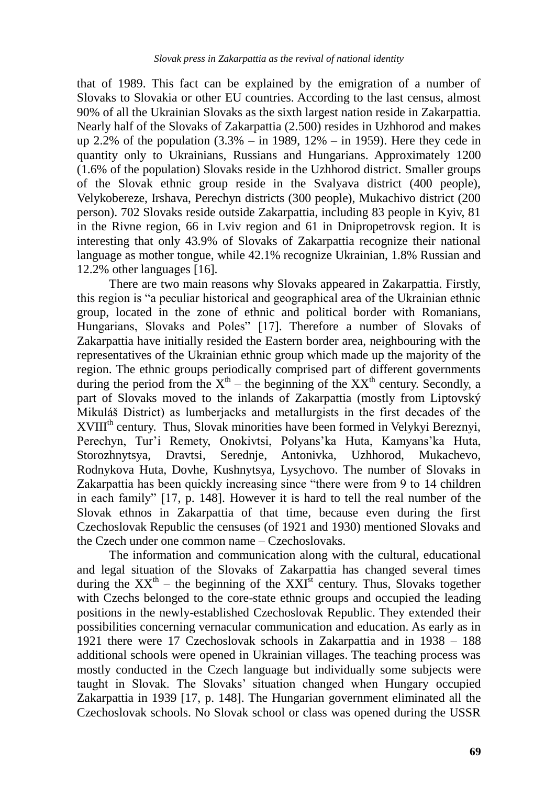that of 1989. This fact can be explained by the emigration of a number of Slovaks to Slovakia or other EU countries. According to the last census, almost 90% of all the Ukrainian Slovaks as the sixth largest nation reside in Zakarpattia. Nearly half of the Slovaks of Zakarpattia (2.500) resides in Uzhhorod and makes up 2.2% of the population (3.3% – in 1989, 12% – in 1959). Here they cede in quantity only to Ukrainians, Russians and Hungarians. Approximately 1200 (1.6% of the population) Slovaks reside in the Uzhhorod district. Smaller groups of the Slovak ethnic group reside in the Svalyava district (400 people), Velykobereze, Irshava, Perechyn districts (300 people), Mukachivo district (200 person). 702 Slovaks reside outside Zakarpattia, including 83 people in Kyiv, 81 in the Rivne region, 66 in Lviv region and 61 in Dnipropetrovsk region. It is interesting that only 43.9% of Slovaks of Zakarpattia recognize their national language as mother tongue, while 42.1% recognize Ukrainian, 1.8% Russian and 12.2% other languages [16].

There are two main reasons why Slovaks appeared in Zakarpattia. Firstly, this region is "a peculiar historical and geographical area of the Ukrainian ethnic group, located in the zone of ethnic and political border with Romanians, Hungarians, Slovaks and Poles" [17]. Therefore a number of Slovaks of Zakarpattia have initially resided the Eastern border area, neighbouring with the representatives of the Ukrainian ethnic group which made up the majority of the region. The ethnic groups periodically comprised part of different governments during the period from the  $X^{th}$  – the beginning of the  $XX^{th}$  century. Secondly, a part of Slovaks moved to the inlands of Zakarpattia (mostly from Liptovský Mikuláš District) as lumberjacks and metallurgists in the first decades of the XVIII<sup>th</sup> century. Thus, Slovak minorities have been formed in Velykyi Bereznyi, Perechyn, Tur'i Remety, Onokivtsi, Polyans'ka Huta, Kamyans'ka Huta, Storozhnytsya, Dravtsi, Serednje, Antonivka, Uzhhorod, Mukachevo, Rodnykova Huta, Dovhe, Kushnytsya, Lysychovo. The number of Slovaks in Zakarpattia has been quickly increasing since "there were from 9 to 14 children in each family" [17, p. 148]. However it is hard to tell the real number of the Slovak ethnos in Zakarpattia of that time, because even during the first Czechoslovak Republic the censuses (of 1921 and 1930) mentioned Slovaks and the Czech under one common name – Czechoslovaks.

The information and communication along with the cultural, educational and legal situation of the Slovaks of Zakarpattia has changed several times during the  $XX<sup>th</sup>$  – the beginning of the  $XXI<sup>st</sup>$  century. Thus, Slovaks together with Czechs belonged to the core-state ethnic groups and occupied the leading positions in the newly-established Czechoslovak Republic. They extended their possibilities concerning vernacular communication and education. As early as in 1921 there were 17 Czechoslovak schools in Zakarpattia and in 1938 – 188 additional schools were opened in Ukrainian villages. The teaching process was mostly conducted in the Czech language but individually some subjects were taught in Slovak. The Slovaks" situation changed when Hungary occupied Zakarpattia in 1939 [17, p. 148]. The Hungarian government eliminated all the Czechoslovak schools. No Slovak school or class was opened during the USSR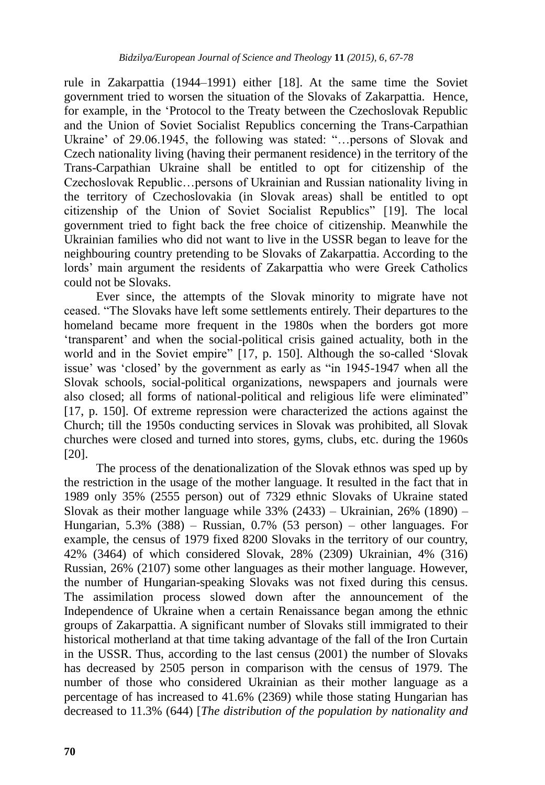rule in Zakarpattia (1944–1991) either [18]. At the same time the Soviet government tried to worsen the situation of the Slovaks of Zakarpattia. Hence, for example, in the "Protocol to the Treaty between the Czechoslovak Republic and the Union of Soviet Socialist Republics concerning the Trans-Carpathian Ukraine' of 29.06.1945, the following was stated: "... persons of Slovak and Czech nationality living (having their permanent residence) in the territory of the Trans-Carpathian Ukraine shall be entitled to opt for citizenship of the Czechoslovak Republic…persons of Ukrainian and Russian nationality living in the territory of Czechoslovakia (in Slovak areas) shall be entitled to opt citizenship of the Union of Soviet Socialist Republics" [19]. The local government tried to fight back the free choice of citizenship. Meanwhile the Ukrainian families who did not want to live in the USSR began to leave for the neighbouring country pretending to be Slovaks of Zakarpattia. According to the lords" main argument the residents of Zakarpattia who were Greek Catholics could not be Slovaks.

Ever since, the attempts of the Slovak minority to migrate have not ceased. "The Slovaks have left some settlements entirely. Their departures to the homeland became more frequent in the 1980s when the borders got more "transparent" and when the social-political crisis gained actuality, both in the world and in the Soviet empire" [17, p. 150]. Although the so-called "Slovak issue' was 'closed' by the government as early as "in 1945-1947 when all the Slovak schools, social-political organizations, newspapers and journals were also closed; all forms of national-political and religious life were eliminated" [17, p. 150]. Of extreme repression were characterized the actions against the Church; till the 1950s conducting services in Slovak was prohibited, all Slovak churches were closed and turned into stores, gyms, clubs, etc. during the 1960s [20].

The process of the denationalization of the Slovak ethnos was sped up by the restriction in the usage of the mother language. It resulted in the fact that in 1989 only 35% (2555 person) out of 7329 ethnic Slovaks of Ukraine stated Slovak as their mother language while  $33\%$  (2433) – Ukrainian, 26% (1890) – Hungarian, 5.3% (388) – Russian, 0.7% (53 person) – other languages. For example, the census of 1979 fixed 8200 Slovaks in the territory of our country, 42% (3464) of which considered Slovak, 28% (2309) Ukrainian, 4% (316) Russian, 26% (2107) some other languages as their mother language. However, the number of Hungarian-speaking Slovaks was not fixed during this census. The assimilation process slowed down after the announcement of the Independence of Ukraine when a certain Renaissance began among the ethnic groups of Zakarpattia. A significant number of Slovaks still immigrated to their historical motherland at that time taking advantage of the fall of the Iron Curtain in the USSR. Thus, according to the last census (2001) the number of Slovaks has decreased by 2505 person in comparison with the census of 1979. The number of those who considered Ukrainian as their mother language as a percentage of has increased to 41.6% (2369) while those stating Hungarian has decreased to 11.3% (644) [*The distribution of the population by nationality and*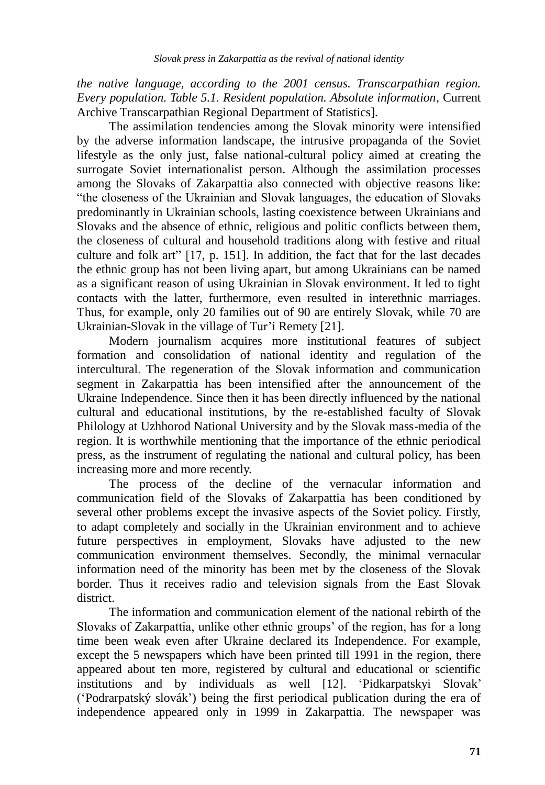*the native language, according to the 2001 census. Transcarpathian region. Every population. Table 5.1. Resident population. Absolute information*, Current Archive Transcarpathian Regional Department of Statistics].

The assimilation tendencies among the Slovak minority were intensified by the adverse information landscape, the intrusive propaganda of the Soviet lifestyle as the only just, false national-cultural policy aimed at creating the surrogate Soviet internationalist person. Although the assimilation processes among the Slovaks of Zakarpattia also connected with objective reasons like: "the closeness of the Ukrainian and Slovak languages, the education of Slovaks predominantly in Ukrainian schools, lasting coexistence between Ukrainians and Slovaks and the absence of ethnic, religious and politic conflicts between them, the closeness of cultural and household traditions along with festive and ritual culture and folk art" [17, p. 151]. In addition, the fact that for the last decades the ethnic group has not been living apart, but among Ukrainians can be named as a significant reason of using Ukrainian in Slovak environment. It led to tight contacts with the latter, furthermore, even resulted in interethnic marriages. Thus, for example, only 20 families out of 90 are entirely Slovak, while 70 are Ukrainian-Slovak in the village of Tur'i Remety [21].

Modern journalism acquires more institutional features of subject formation and consolidation of national identity and regulation of the intercultural. The regeneration of the Slovak information and communication segment in Zakarpattia has been intensified after the announcement of the Ukraine Independence. Since then it has been directly influenced by the national cultural and educational institutions, by the re-established faculty of Slovak Philology at Uzhhorod National University and by the Slovak mass-media of the region. It is worthwhile mentioning that the importance of the ethnic periodical press, as the instrument of regulating the national and cultural policy, has been increasing more and more recently.

The process of the decline of the vernacular information and communication field of the Slovaks of Zakarpattia has been conditioned by several other problems except the invasive aspects of the Soviet policy. Firstly, to adapt completely and socially in the Ukrainian environment and to achieve future perspectives in employment, Slovaks have adjusted to the new communication environment themselves. Secondly, the minimal vernacular information need of the minority has been met by the closeness of the Slovak border. Thus it receives radio and television signals from the East Slovak district.

The information and communication element of the national rebirth of the Slovaks of Zakarpattia, unlike other ethnic groups" of the region, has for a long time been weak even after Ukraine declared its Independence. For example, except the 5 newspapers which have been printed till 1991 in the region, there appeared about ten more, registered by cultural and educational or scientific institutions and by individuals as well [12]. "Pidkarpatskyi Slovak" ("Podrarpatský slovák") being the first periodical publication during the era of independence appeared only in 1999 in Zakarpattia. The newspaper was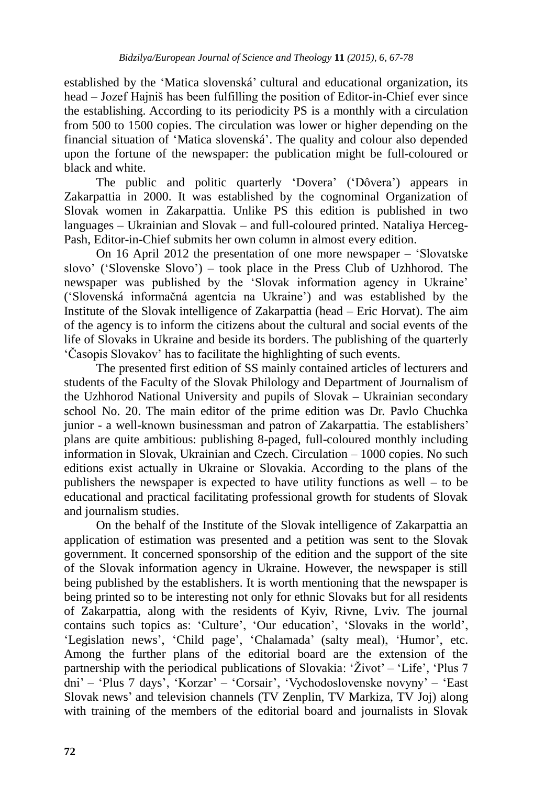established by the "Matica slovenská" cultural and educational organization, its head – Jozef Hajniš has been fulfilling the position of Editor-in-Chief ever since the establishing. According to its periodicity PS is a monthly with a circulation from 500 to 1500 copies. The circulation was lower or higher depending on the financial situation of "Matica slovenská". The quality and colour also depended upon the fortune of the newspaper: the publication might be full-coloured or black and white.

The public and politic quarterly 'Dovera' ('Dôvera') appears in Zakarpattia in 2000. It was established by the cognominal Organization of Slovak women in Zakarpattia. Unlike PS this edition is published in two languages – Ukrainian and Slovak – and full-coloured printed. Nataliya Herceg-Pash, Editor-in-Chief submits her own column in almost every edition.

On 16 April 2012 the presentation of one more newspaper – "Slovatske slovo" ("Slovenske Slovo") – took place in the Press Club of Uzhhorod. The newspaper was published by the 'Slovak information agency in Ukraine' ("Slovenská informačná agentcia na Ukraine") and was established by the Institute of the Slovak intelligence of Zakarpattia (head – Eric Horvat). The aim of the agency is to inform the citizens about the cultural and social events of the life of Slovaks in Ukraine and beside its borders. The publishing of the quarterly "Časopis Slovakov" has to facilitate the highlighting of such events.

The presented first edition of SS mainly contained articles of lecturers and students of the Faculty of the Slovak Philology and Department of Journalism of the Uzhhorod National University and pupils of Slovak – Ukrainian secondary school No. 20. The main editor of the prime edition was Dr. Pavlo Chuchka junior - a well-known businessman and patron of Zakarpattia. The establishers' plans are quite ambitious: publishing 8-paged, full-coloured monthly including information in Slovak, Ukrainian and Czech. Circulation – 1000 copies. No such editions exist actually in Ukraine or Slovakia. According to the plans of the publishers the newspaper is expected to have utility functions as well – to be educational and practical facilitating professional growth for students of Slovak and journalism studies.

On the behalf of the Institute of the Slovak intelligence of Zakarpattia an application of estimation was presented and a petition was sent to the Slovak government. It concerned sponsorship of the edition and the support of the site of the Slovak information agency in Ukraine. However, the newspaper is still being published by the establishers. It is worth mentioning that the newspaper is being printed so to be interesting not only for ethnic Slovaks but for all residents of Zakarpattia, along with the residents of Kyiv, Rivne, Lviv. The journal contains such topics as: 'Culture', 'Our education', 'Slovaks in the world', 'Legislation news', 'Child page', 'Chalamada' (salty meal), 'Humor', etc. Among the further plans of the editorial board are the extension of the partnership with the periodical publications of Slovakia:  $\angle Zivot$  – 'Life', 'Plus 7 dni" – "Plus 7 days", "Korzar" – "Corsair", "Vychodoslovenske novyny" – "East Slovak news" and television channels (TV Zenplin, TV Markiza, TV Joj) along with training of the members of the editorial board and journalists in Slovak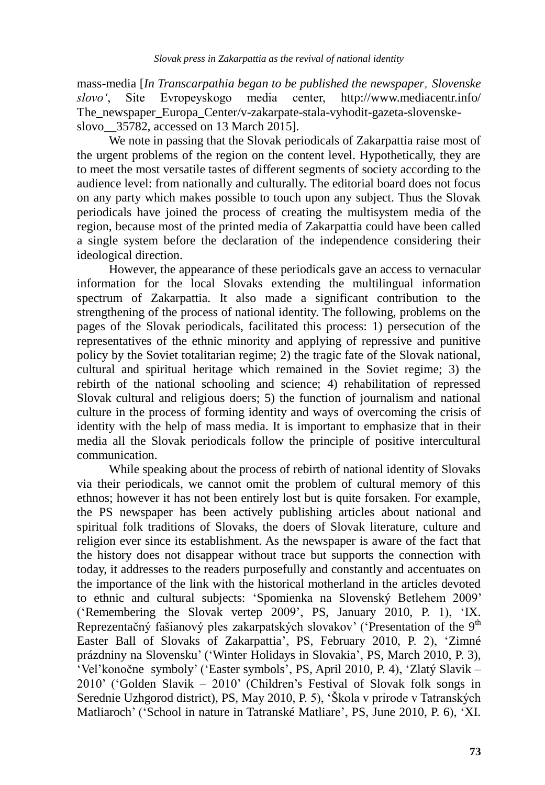mass-media [*In Transcarpathia began to be published the newspaper' Slovenske slovo"*, Site Evropeyskogo medіa center, <http://www.mediacentr.info/> The\_newspaper\_Europa\_Center/v-zakarpate-stala-vyhodit-gazeta-slovenskeslovo\_\_35782, accessed on 13 March 2015].

We note in passing that the Slovak periodicals of Zakarpattia raise most of the urgent problems of the region on the content level. Hypothetically, they are to meet the most versatile tastes of different segments of society according to the audience level: from nationally and culturally. The editorial board does not focus on any party which makes possible to touch upon any subject. Thus the Slovak periodicals have joined the process of creating the multisystem media of the region, because most of the printed media of Zakarpattia could have been called a single system before the declaration of the independence considering their ideological direction.

However, the appearance of these periodicals gave an access to vernacular information for the local Slovaks extending the multilingual information spectrum of Zakarpattia. It also made a significant contribution to the strengthening of the process of national identity. The following, problems on the pages of the Slovak periodicals, facilitated this process: 1) persecution of the representatives of the ethnic minority and applying of repressive and punitive policy by the Soviet totalitarian regime; 2) the tragic fate of the Slovak national, cultural and spiritual heritage which remained in the Soviet regime; 3) the rebirth of the national schooling and science; 4) rehabilitation of repressed Slovak cultural and religious doers; 5) the function of journalism and national culture in the process of forming identity and ways of overcoming the crisis of identity with the help of mass media. It is important to emphasize that in their media all the Slovak periodicals follow the principle of positive intercultural communication.

While speaking about the process of rebirth of national identity of Slovaks via their periodicals, we cannot omit the problem of cultural memory of this ethnos; however it has not been entirely lost but is quite forsaken. For example, the PS newspaper has been actively publishing articles about national and spiritual folk traditions of Slovaks, the doers of Slovak literature, culture and religion ever since its establishment. As the newspaper is aware of the fact that the history does not disappear without trace but supports the connection with today, it addresses to the readers purposefully and constantly and accentuates on the importance of the link with the historical motherland in the articles devoted to ethnic and cultural subjects: "Spomienka na Slovenský Betlehem 2009" ("Remembering the Slovak vertep 2009", PS, January 2010, P. 1), "IX. Reprezentačný fašianový ples zakarpatských slovakov' ('Presentation of the  $9<sup>th</sup>$ Easter Ball of Slovaks of Zakarpattia', PS, February 2010, P. 2), 'Zimné prázdniny na Slovensku" ("Winter Holidays in Slovakia", PS, March 2010, P. 3), "Vel"konočne symboly" ("Easter symbols", PS, April 2010, P. 4), "Zlatý Slavik – 2010" ("Golden Slavik – 2010" (Children"s Festival of Slovak folk songs in Serednie Uzhgorod district), PS, May 2010, P. 5), "Škola v prirode v Tatranských Matliaroch" ("School in nature in Tatranské Matliare", PS, June 2010, P. 6), "XI.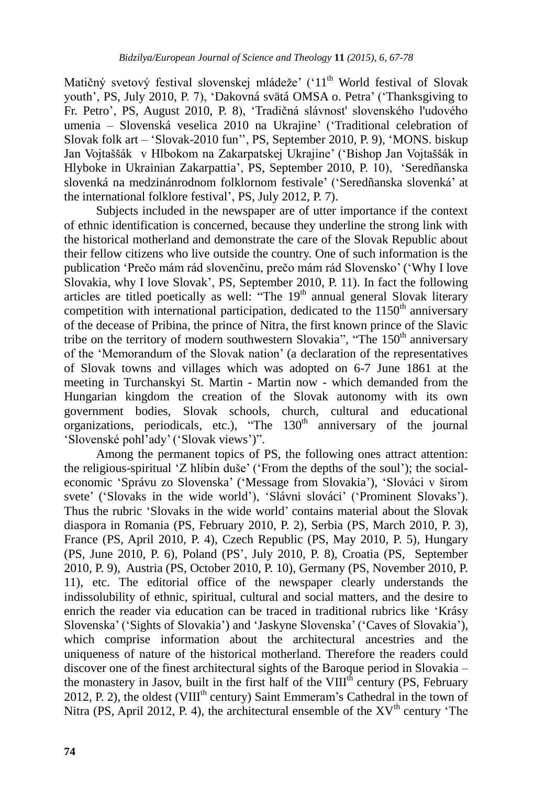Matičný svetový festival slovenskej mládeže<sup>,</sup> ('11<sup>th</sup> World festival of Slovak youth", PS, July 2010, P. 7), "Dakovná svätá OMSA o. Petra" ("Thanksgiving to Fr. Petro", PS, August 2010, P. 8), "Tradičná slávnost' slovenského l'udového umenia – Slovenská veselica 2010 na Ukrajine' ('Traditional celebration of Slovak folk art – "Slovak-2010 fun"", PS, September 2010, P. 9), "MONS. biskup Jan Vojtaššák v Hlbokom na Zakarpatskej Ukrajine" ("Bishop Jan Vojtaššák in Hlyboke in Ukrainian Zakarpattia", PS, September 2010, P. 10), "Seredñanska slovenká na medzinánrodnom folklornom festivale" ("Seredñanska slovenká" at the international folklore festival", PS, July 2012, P. 7).

Subjects included in the newspaper are of utter importance if the context of ethnic identification is concerned, because they underline the strong link with the historical motherland and demonstrate the care of the Slovak Republic about their fellow citizens who live outside the country. One of such information is the publication "Prečo mám rád slovenčinu, prečo mám rád Slovensko" ("Why I love Slovakia, why I love Slovak", PS, September 2010, P. 11). In fact the following articles are titled poetically as well: "The  $19<sup>th</sup>$  annual general Slovak literary competition with international participation, dedicated to the  $1150<sup>th</sup>$  anniversary of the decease of Pribina, the prince of Nitra, the first known prince of the Slavic tribe on the territory of modern southwestern Slovakia", "The 150<sup>th</sup> anniversary of the "Memorandum of the Slovak nation" (a declaration of the representatives of Slovak towns and villages which was adopted on 6-7 June 1861 at the meeting in Turchanskyi St. Martin - Martin now - which demanded from the Hungarian kingdom the creation of the Slovak autonomy with its own government bodies, Slovak schools, church, cultural and educational organizations, periodicals, etc.), "The  $130<sup>th</sup>$  anniversary of the journal 'Slovenské pohl'ady' ('Slovak views')".

Among the permanent topics of PS, the following ones attract attention: the religious-spiritual 'Z hlibin duše' ('From the depths of the soul'); the socialeconomic "Správu zo Slovenska" ("Message from Slovakia"), "Slováci v širom svete' ('Slovaks in the wide world'), 'Slávni slováci' ('Prominent Slovaks'). Thus the rubric "Slovaks in the wide world" contains material about the Slovak diaspora in Romania (PS, February 2010, P. 2), Serbia (PS, March 2010, P. 3), France (PS, April 2010, P. 4), Czech Republic (PS, May 2010, P. 5), Hungary (PS, June 2010, P. 6), Poland (PS", July 2010, P. 8), Croatia (PS, September 2010, P. 9), Austria (PS, October 2010, P. 10), Germany (PS, November 2010, P. 11), etc. The editorial office of the newspaper clearly understands the indissolubility of ethnic, spiritual, cultural and social matters, and the desire to enrich the reader via education can be traced in traditional rubrics like "Krásy Slovenska" ("Sights of Slovakia") and "Jaskyne Slovenska" ("Caves of Slovakia"), which comprise information about the architectural ancestries and the uniqueness of nature of the historical motherland. Therefore the readers could discover one of the finest architectural sights of the Baroque period in Slovakia – the monastery in Jasov, built in the first half of the  $VIII<sup>th</sup>$  century (PS, February 2012, P. 2), the oldest (VIII<sup>th</sup> century) Saint Emmeram's Cathedral in the town of Nitra (PS, April 2012, P. 4), the architectural ensemble of the  $XV<sup>th</sup>$  century 'The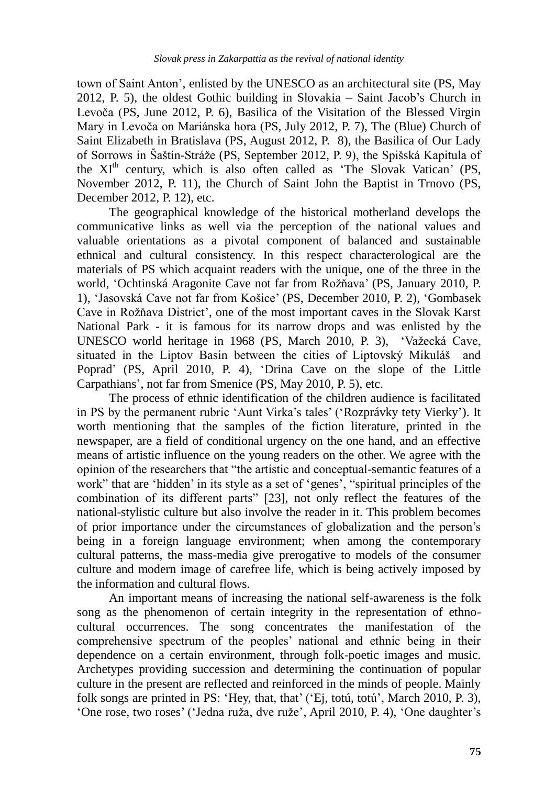town of Saint Anton", enlisted by the UNESCO as an architectural site (PS, May 2012, P. 5), the oldest Gothic building in Slovakia – Saint Jacob"s Church in Levoča (PS, June 2012, P. 6), Basilica of the Visitation of the Blessed Virgin Mary in Levoča on Mariánska hora (PS, July 2012, P. 7), The (Blue) Church of Saint Elizabeth in Bratislava (PS, August 2012, P. 8), the Basilica of Our Lady of Sorrows in Šaštín-Stráže (PS, September 2012, P. 9), the Spišská Kapitula of the  $XI<sup>th</sup>$  century, which is also often called as 'The Slovak Vatican' (PS, November 2012, P. 11), the Church of Saint John the Baptist in Trnovo (PS, December 2012, P. 12), etc.

The geographical knowledge of the historical motherland develops the communicative links as well via the perception of the national values and valuable orientations as a pivotal component of balanced and sustainable ethnical and cultural consistency. In this respect characterological are the materials of PS which acquaint readers with the unique, one of the three in the world, 'Ochtinská Aragonite Cave not far from Rožňava' (PS, January 2010, P. 1), "Jasovská Cave not far from Košice" (PS, December 2010, P. 2), "Gombasek Cave in Rožňava District', one of the most important caves in the Slovak Karst National Park - it is famous for its narrow drops and was enlisted by the UNESCO world heritage in 1968 (PS, March 2010, P. 3), 'Važecká Cave, situated in the Liptov Basin between the cities of Liptovský Mikuláš and Poprad" (PS, April 2010, P. 4), "Drina Cave on the slope of the Little Carpathians", not far from Smenice (PS, May 2010, P. 5), etc.

The process of ethnic identification of the children audience is facilitated in PS by the permanent rubric 'Aunt Virka's tales' ('Rozprávky tety Vierky'). It worth mentioning that the samples of the fiction literature, printed in the newspaper, are a field of conditional urgency on the one hand, and an effective means of artistic influence on the young readers on the other. We agree with the opinion of the researchers that "the artistic and conceptual-semantic features of a work" that are 'hidden' in its style as a set of 'genes', "spiritual principles of the combination of its different parts" [23], not only reflect the features of the national-stylistic culture but also involve the reader in it. This problem becomes of prior importance under the circumstances of globalization and the person"s being in a foreign language environment; when among the contemporary cultural patterns, the mass-media give prerogative to models of the consumer culture and modern image of carefree life, which is being actively imposed by the information and cultural flows.

An important means of increasing the national self-awareness is the folk song as the phenomenon of certain integrity in the representation of ethnocultural occurrences. The song concentrates the manifestation of the comprehensive spectrum of the peoples" national and ethnic being in their dependence on a certain environment, through folk-poetic images and music. Archetypes providing succession and determining the continuation of popular culture in the present are reflected and reinforced in the minds of people. Mainly folk songs are printed in PS: 'Hey, that, that' ('Ej, totú, totú', March 2010, P. 3), 'One rose, two roses' ('Jedna ruža, dve ruže', April 2010, P. 4), 'One daughter's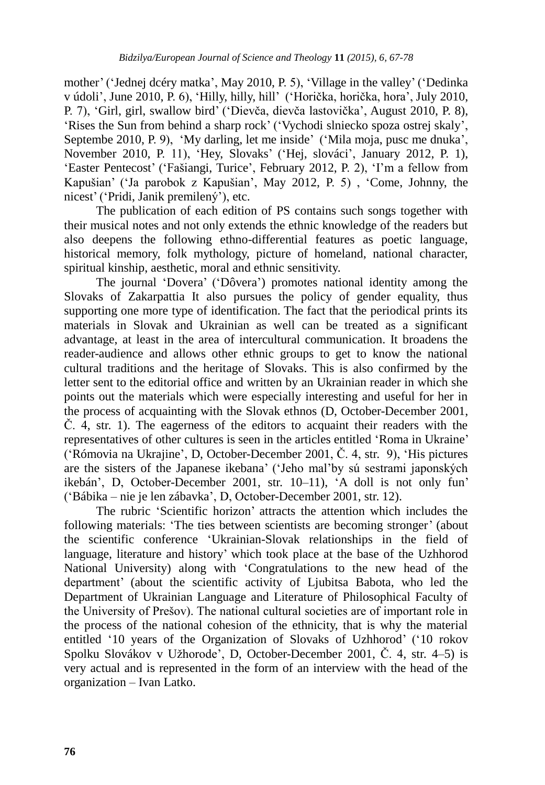mother' ('Jednej dcéry matka', May 2010, P. 5), 'Village in the valley' ('Dedinka v údoli", June 2010, P. 6), "Hilly, hilly, hill" ("Horička, horička, hora", July 2010, P. 7), "Girl, girl, swallow bird" ("Dievča, dievča lastovička", August 2010, P. 8), 'Rises the Sun from behind a sharp rock' ('Vychodi slniecko spoza ostrej skaly', Septembe 2010, P. 9), 'My darling, let me inside' ('Mila moja, pusc me dnuka', November 2010, P. 11), "Hey, Slovaks" ("Hej, slováci", January 2012, P. 1), 'Easter Pentecost' ('Fašiangi, Turice', February 2012, P. 2), 'I'm a fellow from Kapušian" ("Ja parobok z Kapušian", May 2012, P. 5) , "Come, Johnny, the nicest" ("Pridi, Janik premilený"), etc.

The publication of each edition of PS contains such songs together with their musical notes and not only extends the ethnic knowledge of the readers but also deepens the following ethno-differential features as poetic language, historical memory, folk mythology, picture of homeland, national character, spiritual kinship, aesthetic, moral and ethnic sensitivity.

The journal "Dovera" ("Dôvera") promotes national identity among the Slovaks of Zakarpattia It also pursues the policy of gender equality, thus supporting one more type of identification. The fact that the periodical prints its materials in Slovak and Ukrainian as well can be treated as a significant advantage, at least in the area of intercultural communication. It broadens the reader-audience and allows other ethnic groups to get to know the national cultural traditions and the heritage of Slovaks. This is also confirmed by the letter sent to the editorial office and written by an Ukrainian reader in which she points out the materials which were especially interesting and useful for her in the process of acquainting with the Slovak ethnos (D, October-December 2001, Č. 4, str. 1). The eagerness of the editors to acquaint their readers with the representatives of other cultures is seen in the articles entitled "Roma in Ukraine" ("Rómovia na Ukrajine", D, October-December 2001, Č. 4, str. 9), "His pictures are the sisters of the Japanese ikebana" ("Jeho mal"by sú sestrami japonských ikebán", D, October-December 2001, str. 10–11), "A doll is not only fun" ("Bábika – nie je len zábavka", D, October-December 2001, str. 12).

The rubric "Scientific horizon" attracts the attention which includes the following materials: "The ties between scientists are becoming stronger" (about the scientific conference "Ukrainian-Slovak relationships in the field of language, literature and history' which took place at the base of the Uzhhorod National University) along with "Congratulations to the new head of the department" (about the scientific activity of Ljubitsa Babota, who led the Department of Ukrainian Language and Literature of Philosophical Faculty of the University of Prešov). The national cultural societies are of important role in the process of the national cohesion of the ethnicity, that is why the material entitled "10 years of the Organization of Slovaks of Uzhhorod" ("10 rokov Spolku Slovákov v Užhorode', D, October-December 2001, Č. 4, str. 4–5) is very actual and is represented in the form of an interview with the head of the organization – Ivan Latko.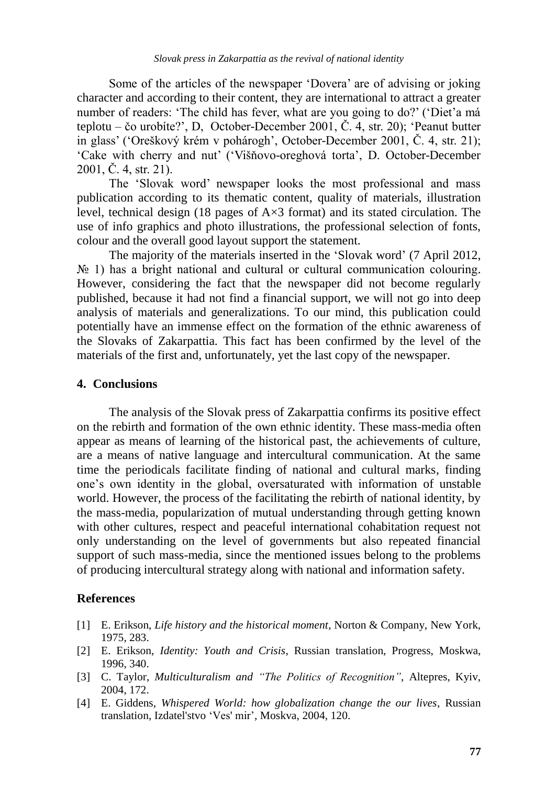Some of the articles of the newspaper "Dovera" are of advising or joking character and according to their content, they are international to attract a greater number of readers: 'The child has fever, what are you going to do?' ('Diet'a má teplotu – čo urobíte?", D, October-December 2001, Č. 4, str. 20); "Peanut butter in glass" ("Oreškový krém v pohárogh", October-December 2001, Č. 4, str. 21); 'Cake with cherry and nut' ('Višňovo-oreghová torta', D. October-December 2001, Č. 4, str. 21).

The "Slovak word" newspaper looks the most professional and mass publication according to its thematic content, quality of materials, illustration level, technical design (18 pages of A×3 format) and its stated circulation. The use of info graphics and photo illustrations, the professional selection of fonts, colour and the overall good layout support the statement.

The majority of the materials inserted in the "Slovak word" (7 April 2012,  $\mathcal{N}_2$  1) has a bright national and cultural or cultural communication colouring. However, considering the fact that the newspaper did not become regularly published, because it had not find a financial support, we will not go into deep analysis of materials and generalizations. To our mind, this publication could potentially have an immense effect on the formation of the ethnic awareness of the Slovaks of Zakarpattia. This fact has been confirmed by the level of the materials of the first and, unfortunately, yet the last copy of the newspaper.

#### **4. Conclusions**

The analysis of the Slovak press of Zakarpattia confirms its positive effect on the rebirth and formation of the own ethnic identity. These mass-media often appear as means of learning of the historical past, the achievements of culture, are a means of native language and intercultural communication. At the same time the periodicals facilitate finding of national and cultural marks, finding one"s own identity in the global, oversaturated with information of unstable world. However, the process of the facilitating the rebirth of national identity, by the mass-media, popularization of mutual understanding through getting known with other cultures, respect and peaceful international cohabitation request not only understanding on the level of governments but also repeated financial support of such mass-media, since the mentioned issues belong to the problems of producing intercultural strategy along with national and information safety.

#### **References**

- [1] E. Erikson, *Life history and the historical moment*, Norton & Company, New York, 1975, 283.
- [2] E. Erikson, *Identity: Youth and Crisis*, Russian translation, Progress, Moskwa, 1996, 340.
- [3] C. Taylor, *Multiculturalism and "The Politics of Recognition"*, Altepres, Kyiv, 2004, 172.
- [4] E. Giddens, *Whispered World: how globalization change the our lives*, Russian translation, Izdatel'stvo "Ves' mir", Moskva, 2004, 120.